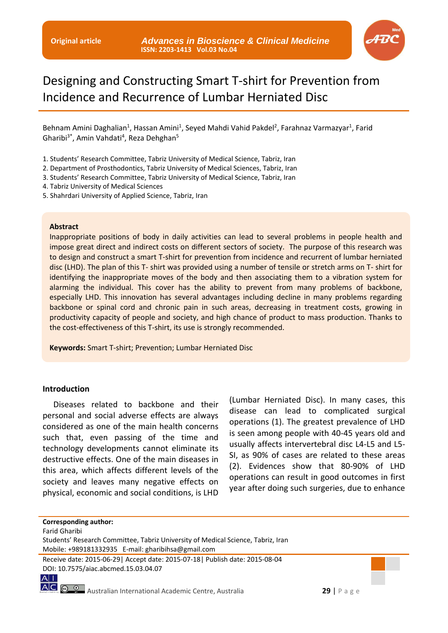

# Designing and Constructing Smart T-shirt for Prevention from Incidence and Recurrence of Lumbar Herniated Disc

Behnam Amini Daghalian<sup>1</sup>, Hassan Amini<sup>1</sup>, Seyed Mahdi Vahid Pakdel<sup>2</sup>, Farahnaz Varmazyar<sup>1</sup>, Farid Gharibi<sup>3\*</sup>, Amin Vahdati<sup>4</sup>, Reza Dehghan<sup>5</sup>

- 1. Students' Research Committee, Tabriz University of Medical Science, Tabriz, Iran
- 2. Department of Prosthodontics, Tabriz University of Medical Sciences, Tabriz, Iran
- 3. Students' Research Committee, Tabriz University of Medical Science, Tabriz, Iran
- 4. Tabriz University of Medical Sciences
- 5. Shahrdari University of Applied Science, Tabriz, Iran

#### **Abstract**

Inappropriate positions of body in daily activities can lead to several problems in people health and impose great direct and indirect costs on different sectors of society. The purpose of this research was to design and construct a smart T-shirt for prevention from incidence and recurrent of lumbar herniated disc (LHD). The plan of this T- shirt was provided using a number of tensile or stretch arms on T- shirt for identifying the inappropriate moves of the body and then associating them to a vibration system for alarming the individual. This cover has the ability to prevent from many problems of backbone, especially LHD. This innovation has several advantages including decline in many problems regarding backbone or spinal cord and chronic pain in such areas, decreasing in treatment costs, growing in productivity capacity of people and society, and high chance of product to mass production. Thanks to the cost-effectiveness of this T-shirt, its use is strongly recommended.

**Keywords:** Smart T-shirt; Prevention; Lumbar Herniated Disc

### **Introduction**

Diseases related to backbone and their personal and social adverse effects are always considered as one of the main health concerns such that, even passing of the time and technology developments cannot eliminate its destructive effects. One of the main diseases in this area, which affects different levels of the society and leaves many negative effects on physical, economic and social conditions, is LHD

(Lumbar Herniated Disc). In many cases, this disease can lead to complicated surgical operations (1). The greatest prevalence of LHD is seen among people with 40-45 years old and usually affects intervertebral disc L4-L5 and L5- SI, as 90% of cases are related to these areas (2). Evidences show that 80-90% of LHD operations can result in good outcomes in first year after doing such surgeries, due to enhance

**Corresponding author:**

Farid Gharibi

 $A$ |

Receive date: 2015-06-29| Accept date: 2015-07-18| Publish date: 2015-08-04 DOI: 10.7575/aiac.abcmed.15.03.04.07

AC **@ 0** Australian International Academic Centre, Australia **29** | P a g e

Students' Research Committee, Tabriz University of Medical Science, Tabriz, Iran Mobile: +989181332935 E-mail: gharibihsa@gmail.com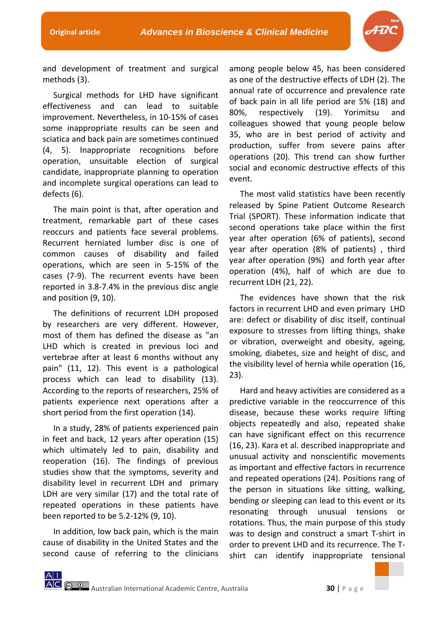

and development of treatment and surgical methods (3).

Surgical methods for LHD have significant effectiveness and can lead to suitable improvement. Nevertheless, in 10-15% of cases some inappropriate results can be seen and sciatica and back pain are sometimes continued (4, 5). Inappropriate recognitions before operation, unsuitable election of surgical candidate, inappropriate planning to operation and incomplete surgical operations can lead to defects (6).

The main point is that, after operation and treatment, remarkable part of these cases reoccurs and patients face several problems. Recurrent herniated lumber disc is one of common causes of disability and failed operations, which are seen in 5-15% of the cases (7-9). The recurrent events have been reported in 3.8-7.4% in the previous disc angle and position (9, 10).

The definitions of recurrent LDH proposed by researchers are very different. However, most of them has defined the disease as "an LHD which is created in previous loci and vertebrae after at least 6 months without any pain" (11, 12). This event is a pathological process which can lead to disability (13). According to the reports of researchers, 25% of patients experience next operations after a short period from the first operation (14).

In a study, 28% of patients experienced pain in feet and back, 12 years after operation (15) which ultimately led to pain, disability and reoperation (16). The findings of previous studies show that the symptoms, severity and disability level in recurrent LDH and primary LDH are very similar (17) and the total rate of repeated operations in these patients have been reported to be 5.2-12% (9, 10).

In addition, low back pain, which is the main cause of disability in the United States and the second cause of referring to the clinicians among people below 45, has been considered as one of the destructive effects of LDH (2). The annual rate of occurrence and prevalence rate of back pain in all life period are 5% (18) and 80%, respectively (19). Yorimitsu and colleagues showed that young people below 35, who are in best period of activity and production, suffer from severe pains after operations (20). This trend can show further social and economic destructive effects of this event.

The most valid statistics have been recently released by Spine Patient Outcome Research Trial (SPORT). These information indicate that second operations take place within the first year after operation (6% of patients), second year after operation (8% of patients) , third year after operation (9%) and forth year after operation (4%), half of which are due to recurrent LDH (21, 22).

The evidences have shown that the risk factors in recurrent LHD and even primary LHD are: defect or disability of disc itself, continual exposure to stresses from lifting things, shake or vibration, overweight and obesity, ageing, smoking, diabetes, size and height of disc, and the visibility level of hernia while operation (16, 23).

Hard and heavy activities are considered as a predictive variable in the reoccurrence of this disease, because these works require lifting objects repeatedly and also, repeated shake can have significant effect on this recurrence (16, 23). Kara et al. described inappropriate and unusual activity and nonscientific movements as important and effective factors in recurrence and repeated operations (24). Positions rang of the person in situations like sitting, walking, bending or sleeping can lead to this event or its resonating through unusual tensions or rotations. Thus, the main purpose of this study was to design and construct a smart T-shirt in order to prevent LHD and its recurrence. The Tshirt can identify inappropriate tensional

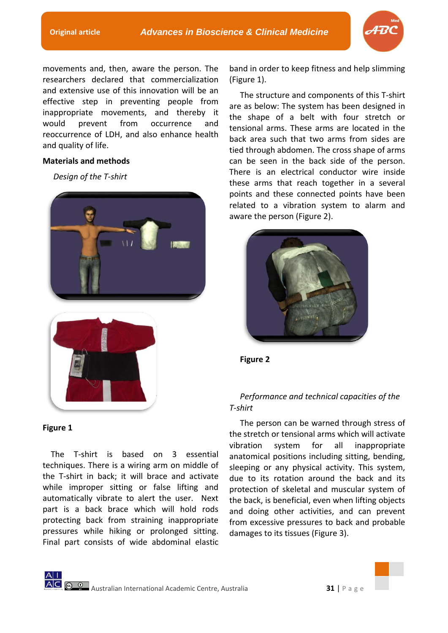

movements and, then, aware the person. The researchers declared that commercialization and extensive use of this innovation will be an effective step in preventing people from inappropriate movements, and thereby it would prevent from occurrence and reoccurrence of LDH, and also enhance health and quality of life.

## **Materials and methods**

*Design of the T-shirt*





## **Figure 1**

 The T-shirt is based on 3 essential techniques. There is a wiring arm on middle of the T-shirt in back; it will brace and activate while improper sitting or false lifting and automatically vibrate to alert the user. Next part is a back brace which will hold rods protecting back from straining inappropriate pressures while hiking or prolonged sitting. Final part consists of wide abdominal elastic

band in order to keep fitness and help slimming (Figure 1).

The structure and components of this T-shirt are as below: The system has been designed in the shape of a belt with four stretch or tensional arms. These arms are located in the back area such that two arms from sides are tied through abdomen. The cross shape of arms can be seen in the back side of the person. There is an electrical conductor wire inside these arms that reach together in a several points and these connected points have been related to a vibration system to alarm and aware the person (Figure 2).



**Figure 2**

# *Performance and technical capacities of the T-shirt*

The person can be warned through stress of the stretch or tensional arms which will activate vibration system for all inappropriate anatomical positions including sitting, bending, sleeping or any physical activity. This system, due to its rotation around the back and its protection of skeletal and muscular system of the back, is beneficial, even when lifting objects and doing other activities, and can prevent from excessive pressures to back and probable damages to its tissues (Figure 3).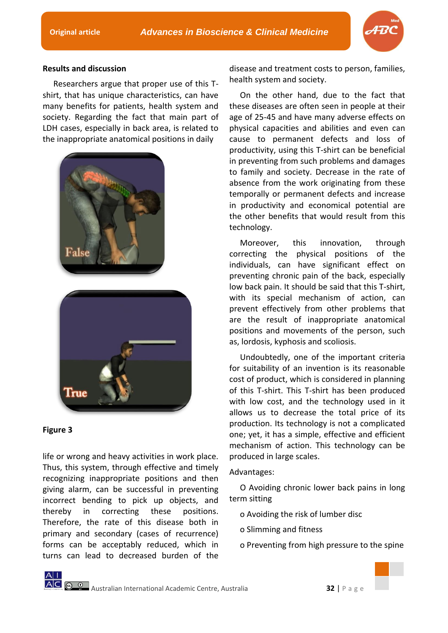

## **Results and discussion**

Researchers argue that proper use of this Tshirt, that has unique characteristics, can have many benefits for patients, health system and society. Regarding the fact that main part of LDH cases, especially in back area, is related to the inappropriate anatomical positions in daily



## **Figure 3**

life or wrong and heavy activities in work place. Thus, this system, through effective and timely recognizing inappropriate positions and then giving alarm, can be successful in preventing incorrect bending to pick up objects, and thereby in correcting these positions. Therefore, the rate of this disease both in primary and secondary (cases of recurrence) forms can be acceptably reduced, which in turns can lead to decreased burden of the

disease and treatment costs to person, families, health system and society.

On the other hand, due to the fact that these diseases are often seen in people at their age of 25-45 and have many adverse effects on physical capacities and abilities and even can cause to permanent defects and loss of productivity, using this T-shirt can be beneficial in preventing from such problems and damages to family and society. Decrease in the rate of absence from the work originating from these temporally or permanent defects and increase in productivity and economical potential are the other benefits that would result from this technology.

Moreover, this innovation, through correcting the physical positions of the individuals, can have significant effect on preventing chronic pain of the back, especially low back pain. It should be said that this T-shirt, with its special mechanism of action, can prevent effectively from other problems that are the result of inappropriate anatomical positions and movements of the person, such as, lordosis, kyphosis and scoliosis.

Undoubtedly, one of the important criteria for suitability of an invention is its reasonable cost of product, which is considered in planning of this T-shirt. This T-shirt has been produced with low cost, and the technology used in it allows us to decrease the total price of its production. Its technology is not a complicated one; yet, it has a simple, effective and efficient mechanism of action. This technology can be produced in large scales.

## Advantages:

O Avoiding chronic lower back pains in long term sitting

- o Avoiding the risk of lumber disc
- o Slimming and fitness
- o Preventing from high pressure to the spine

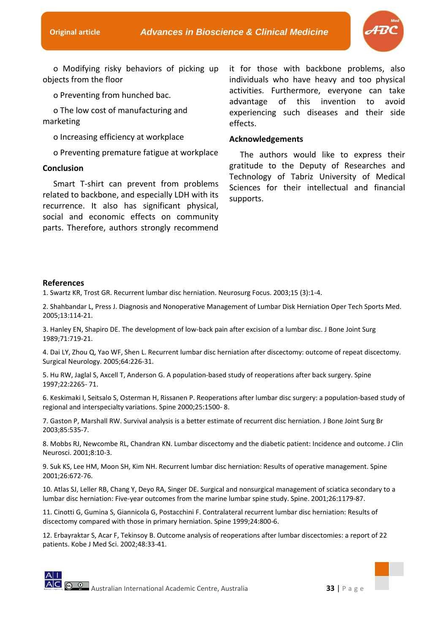

o Modifying risky behaviors of picking up objects from the floor

o Preventing from hunched bac.

o The low cost of manufacturing and marketing

o Increasing efficiency at workplace

o Preventing premature fatigue at workplace

### **Conclusion**

Smart T-shirt can prevent from problems related to backbone, and especially LDH with its recurrence. It also has significant physical, social and economic effects on community parts. Therefore, authors strongly recommend

it for those with backbone problems, also individuals who have heavy and too physical activities. Furthermore, everyone can take advantage of this invention to avoid experiencing such diseases and their side effects.

#### **Acknowledgements**

The authors would like to express their gratitude to the Deputy of Researches and Technology of Tabriz University of Medical Sciences for their intellectual and financial supports.

#### **References**

1. Swartz KR, Trost GR. Recurrent lumbar disc herniation. Neurosurg Focus. 2003;15 (3):1-4.

2. Shahbandar L, Press J. Diagnosis and Nonoperative Management of Lumbar Disk Herniation Oper Tech Sports Med. 2005;13:114-21.

3. Hanley EN, Shapiro DE. The development of low-back pain after excision of a lumbar disc. J Bone Joint Surg 1989;71:719-21.

4. Dai LY, Zhou Q, Yao WF, Shen L. Recurrent lumbar disc herniation after discectomy: outcome of repeat discectomy. Surgical Neurology. 2005;64:226-31.

5. Hu RW, Jaglal S, Axcell T, Anderson G. A population-based study of reoperations after back surgery. Spine 1997;22:2265- 71.

6. Keskimaki I, Seitsalo S, Osterman H, Rissanen P. Reoperations after lumbar disc surgery: a population-based study of regional and interspecialty variations. Spine 2000;25:1500- 8.

7. Gaston P, Marshall RW. Survival analysis is a better estimate of recurrent disc herniation. J Bone Joint Surg Br 2003;85:535-7.

8. Mobbs RJ, Newcombe RL, Chandran KN. Lumbar discectomy and the diabetic patient: Incidence and outcome. J Clin Neurosci. 2001;8:10-3.

9. Suk KS, Lee HM, Moon SH, Kim NH. Recurrent lumbar disc herniation: Results of operative management. Spine 2001;26:672-76.

10. Atlas SJ, Leller RB, Chang Y, Deyo RA, Singer DE. Surgical and nonsurgical management of sciatica secondary to a lumbar disc herniation: Five-year outcomes from the marine lumbar spine study. Spine. 2001;26:1179-87.

11. Cinotti G, Gumina S, Giannicola G, Postacchini F. Contralateral recurrent lumbar disc herniation: Results of discectomy compared with those in primary herniation. Spine 1999;24:800-6.

12. Erbayraktar S, Acar F, Tekinsoy B. Outcome analysis of reoperations after lumbar discectomies: a report of 22 patients. Kobe J Med Sci. 2002;48:33-41.